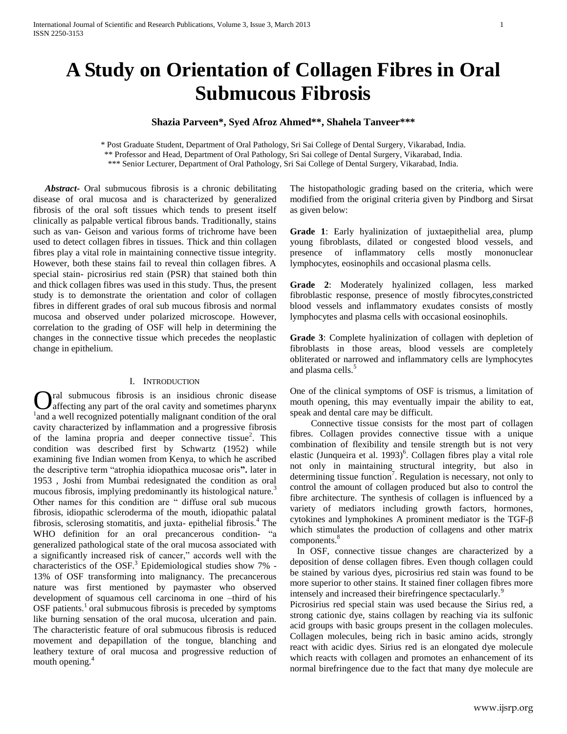# **A Study on Orientation of Collagen Fibres in Oral Submucous Fibrosis**

## **Shazia Parveen\*, Syed Afroz Ahmed\*\*, Shahela Tanveer\*\*\***

\* Post Graduate Student, Department of Oral Pathology, Sri Sai College of Dental Surgery, Vikarabad, India. \*\* Professor and Head, Department of Oral Pathology, Sri Sai college of Dental Surgery, Vikarabad, India. \*\*\* Senior Lecturer, Department of Oral Pathology, Sri Sai College of Dental Surgery, Vikarabad, India.

 *Abstract***-** Oral submucous fibrosis is a chronic debilitating disease of oral mucosa and is characterized by generalized fibrosis of the oral soft tissues which tends to present itself clinically as palpable vertical fibrous bands. Traditionally, stains such as van- Geison and various forms of trichrome have been used to detect collagen fibres in tissues. Thick and thin collagen fibres play a vital role in maintaining connective tissue integrity. However, both these stains fail to reveal thin collagen fibres. A special stain- picrosirius red stain (PSR) that stained both thin and thick collagen fibres was used in this study. Thus, the present study is to demonstrate the orientation and color of collagen fibres in different grades of oral sub mucous fibrosis and normal mucosa and observed under polarized microscope. However, correlation to the grading of OSF will help in determining the changes in the connective tissue which precedes the neoplastic change in epithelium.

#### I. INTRODUCTION

ral submucous fibrosis is an insidious chronic disease **O** ral submucous fibrosis is an insidious chronic disease affecting any part of the oral cavity and sometimes pharynx <sup>1</sup> and a well recognized potentially malignant condition of the oral cavity characterized by inflammation and a progressive fibrosis of the lamina propria and deeper connective tissue<sup>2</sup>. This condition was described first by Schwartz (1952) while examining five Indian women from Kenya, to which he ascribed the descriptive term "atrophia idiopathica mucosae oris**".** later in 1953 , Joshi from Mumbai redesignated the condition as oral mucous fibrosis, implying predominantly its histological nature.<sup>3</sup> Other names for this condition are " diffuse oral sub mucous fibrosis, idiopathic scleroderma of the mouth, idiopathic palatal fibrosis, sclerosing stomatitis, and juxta- epithelial fibrosis. $4$  The WHO definition for an oral precancerous condition- "a generalized pathological state of the oral mucosa associated with a significantly increased risk of cancer," accords well with the characteristics of the OSF.<sup>3</sup> Epidemiological studies show 7% -13% of OSF transforming into malignancy. The precancerous nature was first mentioned by paymaster who observed development of squamous cell carcinoma in one –third of his OSF patients.<sup>1</sup> oral submucous fibrosis is preceded by symptoms like burning sensation of the oral mucosa, ulceration and pain. The characteristic feature of oral submucous fibrosis is reduced movement and depapillation of the tongue, blanching and leathery texture of oral mucosa and progressive reduction of mouth opening.<sup>4</sup>

The histopathologic grading based on the criteria, which were modified from the original criteria given by Pindborg and Sirsat as given below:

**Grade 1**: Early hyalinization of juxtaepithelial area, plump young fibroblasts, dilated or congested blood vessels, and presence of inflammatory cells mostly mononuclear lymphocytes, eosinophils and occasional plasma cells.

**Grade 2**: Moderately hyalinized collagen, less marked fibroblastic response, presence of mostly fibrocytes,constricted blood vessels and inflammatory exudates consists of mostly lymphocytes and plasma cells with occasional eosinophils.

**Grade 3**: Complete hyalinization of collagen with depletion of fibroblasts in those areas, blood vessels are completely obliterated or narrowed and inflammatory cells are lymphocytes and plasma cells.<sup>5</sup>

One of the clinical symptoms of OSF is trismus, a limitation of mouth opening, this may eventually impair the ability to eat, speak and dental care may be difficult.

 Connective tissue consists for the most part of collagen fibres. Collagen provides connective tissue with a unique combination of flexibility and tensile strength but is not very elastic (Junqueira et al. 1993)<sup>6</sup>. Collagen fibres play a vital role not only in maintaining structural integrity, but also in determining tissue function<sup>7</sup>. Regulation is necessary, not only to control the amount of collagen produced but also to control the fibre architecture. The synthesis of collagen is influenced by a variety of mediators including growth factors, hormones, cytokines and lymphokines A prominent mediator is the TGF-β which stimulates the production of collagens and other matrix components.<sup>8</sup>

 In OSF, connective tissue changes are characterized by a deposition of dense collagen fibres. Even though collagen could be stained by various dyes, picrosirius red stain was found to be more superior to other stains. It stained finer collagen fibres more intensely and increased their birefringence spectacularly.<sup>9</sup>

Picrosirius red special stain was used because the Sirius red, a strong cationic dye, stains collagen by reaching via its sulfonic acid groups with basic groups present in the collagen molecules. Collagen molecules, being rich in basic amino acids, strongly react with acidic dyes. Sirius red is an elongated dye molecule which reacts with collagen and promotes an enhancement of its normal birefringence due to the fact that many dye molecule are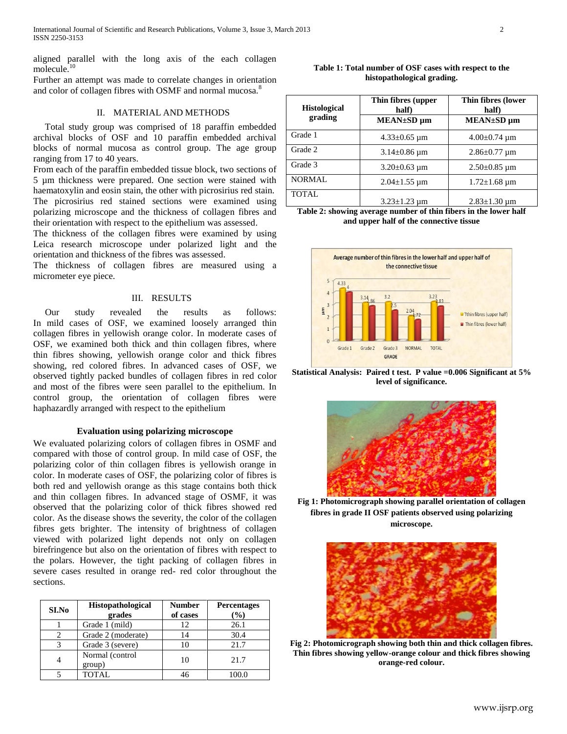aligned parallel with the long axis of the each collagen molecule.<sup>10</sup>

Further an attempt was made to correlate changes in orientation and color of collagen fibres with OSMF and normal mucosa.<sup>8</sup>

## II. MATERIAL AND METHODS

 Total study group was comprised of 18 paraffin embedded archival blocks of OSF and 10 paraffin embedded archival blocks of normal mucosa as control group. The age group ranging from 17 to 40 years.

From each of the paraffin embedded tissue block, two sections of 5 µm thickness were prepared. One section were stained with haematoxylin and eosin stain, the other with picrosirius red stain. The picrosirius red stained sections were examined using polarizing microscope and the thickness of collagen fibres and their orientation with respect to the epithelium was assessed.

The thickness of the collagen fibres were examined by using Leica research microscope under polarized light and the orientation and thickness of the fibres was assessed.

The thickness of collagen fibres are measured using a micrometer eye piece.

## III. RESULTS

 Our study revealed the results as follows: In mild cases of OSF, we examined loosely arranged thin collagen fibres in yellowish orange color. In moderate cases of OSF, we examined both thick and thin collagen fibres, where thin fibres showing, yellowish orange color and thick fibres showing, red colored fibres. In advanced cases of OSF, we observed tightly packed bundles of collagen fibres in red color and most of the fibres were seen parallel to the epithelium. In control group, the orientation of collagen fibres were haphazardly arranged with respect to the epithelium

## **Evaluation using polarizing microscope**

We evaluated polarizing colors of collagen fibres in OSMF and compared with those of control group. In mild case of OSF, the polarizing color of thin collagen fibres is yellowish orange in color. In moderate cases of OSF, the polarizing color of fibres is both red and yellowish orange as this stage contains both thick and thin collagen fibres. In advanced stage of OSMF, it was observed that the polarizing color of thick fibres showed red color. As the disease shows the severity, the color of the collagen fibres gets brighter. The intensity of brightness of collagen viewed with polarized light depends not only on collagen birefringence but also on the orientation of fibres with respect to the polars. However, the tight packing of collagen fibres in severe cases resulted in orange red- red color throughout the sections.

| SI.No | <b>Histopathological</b><br>grades | <b>Number</b><br>of cases | <b>Percentages</b><br>$\frac{9}{0}$ |
|-------|------------------------------------|---------------------------|-------------------------------------|
|       | Grade 1 (mild)                     | 12                        | 26.1                                |
| っ     | Grade 2 (moderate)                 | 14                        | 30.4                                |
| 3     | Grade 3 (severe)                   |                           | 21.7                                |
| 4     | Normal (control<br>group)          | 10                        | 21.7                                |
|       | TOTAL.                             |                           |                                     |

**Table 1: Total number of OSF cases with respect to the histopathological grading.**

| <b>Histological</b><br>grading | Thin fibres (upper<br>half)<br>MEAN±SD um | Thin fibres (lower<br>half)<br>MEAN±SD um |
|--------------------------------|-------------------------------------------|-------------------------------------------|
| Grade 1                        | $4.33 \pm 0.65$ µm                        | $4.00\pm0.74 \mu m$                       |
| Grade 2                        | $3.14 \pm 0.86$ um                        | $2.86 \pm 0.77$ um                        |
| Grade 3                        | $3.20 \pm 0.63$ um                        | $2.50\pm0.85$ um                          |
| <b>NORMAL</b>                  | $2.04 \pm 1.55 \mu m$                     | $1.72 \pm 1.68 \mu m$                     |
| <b>TOTAL</b>                   | $3.23 \pm 1.23$ um                        | $2.83 \pm 1.30 \text{ µm}$                |

**Table 2: showing average number of thin fibers in the lower half and upper half of the connective tissue**



**Statistical Analysis: Paired t test. P value =0.006 Significant at 5% level of significance.**



**Fig 1: Photomicrograph showing parallel orientation of collagen fibres in grade II OSF patients observed using polarizing microscope.**



**Fig 2: Photomicrograph showing both thin and thick collagen fibres. Thin fibres showing yellow-orange colour and thick fibres showing orange-red colour.**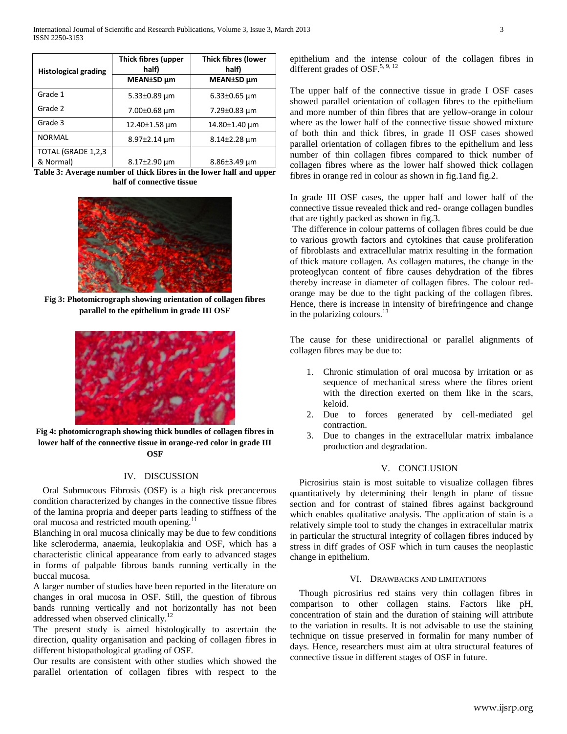| <b>Histological grading</b> | Thick fibres (upper<br>half) | <b>Thick fibres (lower</b><br>half) |
|-----------------------------|------------------------------|-------------------------------------|
|                             | MEAN±SD µm                   | MEAN±SD µm                          |
| Grade 1                     | $5.33 \pm 0.89$ µm           | $6.33 \pm 0.65$ um                  |
| Grade 2                     | 7.00±0.68 um                 | $7.29 \pm 0.83 \mu m$               |
| Grade 3                     | 12.40±1.58 µm                | 14.80±1.40 µm                       |
| <b>NORMAL</b>               | $8.97 \pm 2.14 \mu m$        | $8.14 \pm 2.28 \mu m$               |
| TOTAL (GRADE 1,2,3          |                              |                                     |
| & Normal)                   | $8.17 \pm 2.90 \mu m$        | $8.86 \pm 3.49 \mu m$               |

**Table 3: Average number of thick fibres in the lower half and upper half of connective tissue**



**Fig 3: Photomicrograph showing orientation of collagen fibres parallel to the epithelium in grade III OSF**



**Fig 4: photomicrograph showing thick bundles of collagen fibres in lower half of the connective tissue in orange-red color in grade III OSF**

## IV. DISCUSSION

 Oral Submucous Fibrosis (OSF) is a high risk precancerous condition characterized by changes in the connective tissue fibres of the lamina propria and deeper parts leading to stiffness of the oral mucosa and restricted mouth opening.<sup>11</sup>

Blanching in oral mucosa clinically may be due to few conditions like scleroderma, anaemia, leukoplakia and OSF, which has a characteristic clinical appearance from early to advanced stages in forms of palpable fibrous bands running vertically in the buccal mucosa.

A larger number of studies have been reported in the literature on changes in oral mucosa in OSF. Still, the question of fibrous bands running vertically and not horizontally has not been addressed when observed clinically.<sup>12</sup>

The present study is aimed histologically to ascertain the direction, quality organisation and packing of collagen fibres in different histopathological grading of OSF.

Our results are consistent with other studies which showed the parallel orientation of collagen fibres with respect to the epithelium and the intense colour of the collagen fibres in different grades of OSF.<sup>5, 9, 12</sup>

The upper half of the connective tissue in grade I OSF cases showed parallel orientation of collagen fibres to the epithelium and more number of thin fibres that are yellow-orange in colour where as the lower half of the connective tissue showed mixture of both thin and thick fibres, in grade II OSF cases showed parallel orientation of collagen fibres to the epithelium and less number of thin collagen fibres compared to thick number of collagen fibres where as the lower half showed thick collagen fibres in orange red in colour as shown in fig.1and fig.2.

In grade III OSF cases, the upper half and lower half of the connective tissue revealed thick and red- orange collagen bundles that are tightly packed as shown in fig.3.

The difference in colour patterns of collagen fibres could be due to various growth factors and cytokines that cause proliferation of fibroblasts and extracellular matrix resulting in the formation of thick mature collagen. As collagen matures, the change in the proteoglycan content of fibre causes dehydration of the fibres thereby increase in diameter of collagen fibres. The colour redorange may be due to the tight packing of the collagen fibres. Hence, there is increase in intensity of birefringence and change in the polarizing colours.<sup>13</sup>

The cause for these unidirectional or parallel alignments of collagen fibres may be due to:

- 1. Chronic stimulation of oral mucosa by irritation or as sequence of mechanical stress where the fibres orient with the direction exerted on them like in the scars, keloid.
- 2. Due to forces generated by cell-mediated gel contraction.
- 3. Due to changes in the extracellular matrix imbalance production and degradation.

## V. CONCLUSION

 Picrosirius stain is most suitable to visualize collagen fibres quantitatively by determining their length in plane of tissue section and for contrast of stained fibres against background which enables qualitative analysis. The application of stain is a relatively simple tool to study the changes in extracellular matrix in particular the structural integrity of collagen fibres induced by stress in diff grades of OSF which in turn causes the neoplastic change in epithelium.

### VI. DRAWBACKS AND LIMITATIONS

 Though picrosirius red stains very thin collagen fibres in comparison to other collagen stains. Factors like pH, concentration of stain and the duration of staining will attribute to the variation in results. It is not advisable to use the staining technique on tissue preserved in formalin for many number of days. Hence, researchers must aim at ultra structural features of connective tissue in different stages of OSF in future.